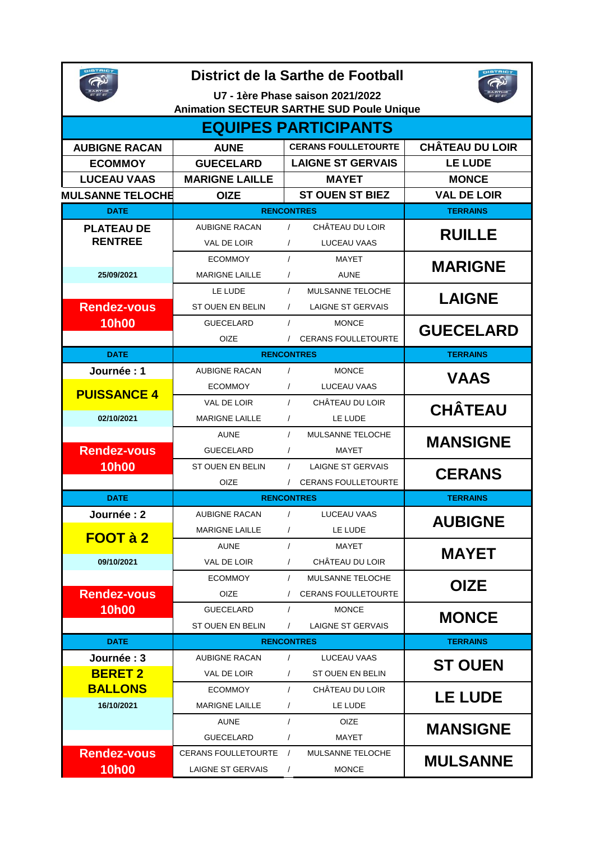| District de la Sarthe de Football<br>U7 - 1ère Phase saison 2021/2022<br><b>Animation SECTEUR SARTHE SUD Poule Unique</b> |                         |                                        |                        |  |  |  |  |
|---------------------------------------------------------------------------------------------------------------------------|-------------------------|----------------------------------------|------------------------|--|--|--|--|
| <b>EQUIPES PARTICIPANTS</b>                                                                                               |                         |                                        |                        |  |  |  |  |
| <b>AUBIGNE RACAN</b>                                                                                                      | <b>AUNE</b>             | <b>CERANS FOULLETOURTE</b>             | <b>CHÂTEAU DU LOIR</b> |  |  |  |  |
| <b>ECOMMOY</b>                                                                                                            | <b>GUECELARD</b>        | <b>LAIGNE ST GERVAIS</b>               | <b>LE LUDE</b>         |  |  |  |  |
| <b>LUCEAU VAAS</b>                                                                                                        | <b>MARIGNE LAILLE</b>   | <b>MAYET</b>                           | <b>MONCE</b>           |  |  |  |  |
| <b>MULSANNE TELOCHE</b>                                                                                                   | <b>OIZE</b>             | <b>ST OUEN ST BIEZ</b>                 | <b>VAL DE LOIR</b>     |  |  |  |  |
| <b>DATE</b>                                                                                                               | <b>RENCONTRES</b>       | <b>TERRAINS</b>                        |                        |  |  |  |  |
| <b>PLATEAU DE</b>                                                                                                         | <b>AUBIGNE RACAN</b>    | CHÂTEAU DU LOIR<br>$\sqrt{2}$          |                        |  |  |  |  |
| <b>RENTREE</b>                                                                                                            | VAL DE LOIR             | $\prime$<br>LUCEAU VAAS                | <b>RUILLE</b>          |  |  |  |  |
|                                                                                                                           | <b>ECOMMOY</b>          | $\prime$<br>MAYET                      |                        |  |  |  |  |
| 25/09/2021                                                                                                                | <b>MARIGNE LAILLE</b>   | $\prime$<br><b>AUNE</b>                | <b>MARIGNE</b>         |  |  |  |  |
|                                                                                                                           | LE LUDE                 | <b>MULSANNE TELOCHE</b><br>$\prime$    |                        |  |  |  |  |
| <b>Rendez-vous</b>                                                                                                        | ST OUEN EN BELIN        | LAIGNE ST GERVAIS<br>$\prime$          | <b>LAIGNE</b>          |  |  |  |  |
| <b>10h00</b>                                                                                                              | <b>GUECELARD</b>        | $\prime$<br><b>MONCE</b>               |                        |  |  |  |  |
|                                                                                                                           | OIZE                    | / CERANS FOULLETOURTE                  | <b>GUECELARD</b>       |  |  |  |  |
| <b>DATE</b>                                                                                                               | <b>RENCONTRES</b>       | <b>TERRAINS</b>                        |                        |  |  |  |  |
| Journée: 1                                                                                                                | <b>AUBIGNE RACAN</b>    | $\sqrt{ }$<br><b>MONCE</b>             |                        |  |  |  |  |
|                                                                                                                           | <b>ECOMMOY</b>          | $\prime$<br>LUCEAU VAAS                | <b>VAAS</b>            |  |  |  |  |
| <b>PUISSANCE 4</b>                                                                                                        | VAL DE LOIR             | CHÂTEAU DU LOIR<br>$\prime$            |                        |  |  |  |  |
| 02/10/2021                                                                                                                | <b>MARIGNE LAILLE</b>   | LE LUDE<br>$\prime$                    | <b>CHÂTEAU</b>         |  |  |  |  |
|                                                                                                                           | <b>AUNE</b>             | <b>MULSANNE TELOCHE</b><br>$\prime$    |                        |  |  |  |  |
| <b>Rendez-vous</b>                                                                                                        | <b>GUECELARD</b>        | MAYET<br>$\prime$                      | <b>MANSIGNE</b>        |  |  |  |  |
| <b>10h00</b>                                                                                                              | <b>ST OUEN EN BELIN</b> | $\prime$<br><b>LAIGNE ST GERVAIS</b>   |                        |  |  |  |  |
|                                                                                                                           | OIZE                    | / CERANS FOULLETOURTE                  | <b>CERANS</b>          |  |  |  |  |
| <b>DATE</b>                                                                                                               | <b>RENCONTRES</b>       | <b>TERRAINS</b>                        |                        |  |  |  |  |
| Journée : 2                                                                                                               | <b>AUBIGNE RACAN</b>    | $\prime$<br>LUCEAU VAAS                |                        |  |  |  |  |
|                                                                                                                           | <b>MARIGNE LAILLE</b>   | LE LUDE<br>$\prime$                    | <b>AUBIGNE</b>         |  |  |  |  |
| <b>FOOT à 2</b>                                                                                                           | AUNE                    | $\prime$<br>MAYET                      |                        |  |  |  |  |
| 09/10/2021                                                                                                                | VAL DE LOIR             | CHÂTEAU DU LOIR<br>$\prime$            | <b>MAYET</b>           |  |  |  |  |
|                                                                                                                           | <b>ECOMMOY</b>          | MULSANNE TELOCHE<br>$\prime$           |                        |  |  |  |  |
| <b>Rendez-vous</b>                                                                                                        | <b>OIZE</b>             | <b>CERANS FOULLETOURTE</b><br>$\prime$ | <b>OIZE</b>            |  |  |  |  |
| <b>10h00</b>                                                                                                              | <b>GUECELARD</b>        | $\sqrt{ }$<br><b>MONCE</b>             |                        |  |  |  |  |
|                                                                                                                           | ST OUEN EN BELIN        | <b>LAIGNE ST GERVAIS</b><br>$\prime$   | <b>MONCE</b>           |  |  |  |  |
| <b>DATE</b>                                                                                                               | <b>RENCONTRES</b>       | <b>TERRAINS</b>                        |                        |  |  |  |  |
| Journée: 3                                                                                                                | <b>AUBIGNE RACAN</b>    | $\prime$<br>LUCEAU VAAS                |                        |  |  |  |  |
| <b>BERET 2</b>                                                                                                            | VAL DE LOIR             | ST OUEN EN BELIN<br>$\prime$           | <b>ST OUEN</b>         |  |  |  |  |
| <b>BALLONS</b>                                                                                                            | <b>ECOMMOY</b>          | $\prime$<br>CHÂTEAU DU LOIR            | <b>LE LUDE</b>         |  |  |  |  |
| 16/10/2021                                                                                                                | <b>MARIGNE LAILLE</b>   | LE LUDE<br>$\prime$                    |                        |  |  |  |  |
|                                                                                                                           | <b>AUNE</b>             | $\prime$<br>OIZE                       |                        |  |  |  |  |
|                                                                                                                           | <b>GUECELARD</b>        | MAYET<br>$\prime$                      | <b>MANSIGNE</b>        |  |  |  |  |
| <b>Rendez-vous</b>                                                                                                        | CERANS FOULLETOURTE /   | MULSANNE TELOCHE                       | <b>MULSANNE</b>        |  |  |  |  |
| <b>10h00</b>                                                                                                              | LAIGNE ST GERVAIS       | <b>MONCE</b><br>$\prime$               |                        |  |  |  |  |